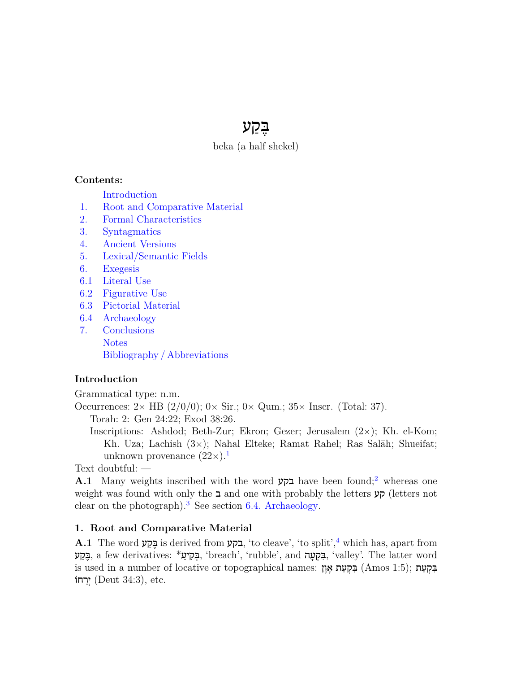# בֶּ קַ ע

beka (a half shekel)

## **Contents:**

[Introduction](#page-0-0)

- [1.](#page-0-1) [Root and Comparative Material](#page-0-1)
- [2.](#page-1-0) [Formal Characteristics](#page-1-0)
- [3.](#page-1-1) [Syntagmatics](#page-1-1)
- [4.](#page-1-2) [Ancient Versions](#page-1-2)
- [5.](#page-2-0) [Lexical/Semantic Fields](#page-2-0)
- [6.](#page-2-1) [Exegesis](#page-2-1)
- [6.1](#page-2-2) [Literal Use](#page-2-2)
- [6.2](#page-2-3) [Figurative Use](#page-2-3)
- [6.3](#page-2-4) [Pictorial Material](#page-2-4)
- [6.4](#page-3-0) [Archaeology](#page-3-0)
- [7.](#page-4-0) [Conclusions](#page-4-0) [Notes](#page-4-1) [Bibliography / Abbreviations](#page-7-0)

# <span id="page-0-0"></span>**Introduction**

Grammatical type: n.m.

Occurrences: 2*<sup>×</sup>* HB (2/0/0); 0*<sup>×</sup>* Sir.; 0*<sup>×</sup>* Qum.; 35*<sup>×</sup>* Inscr. (Total: 37).

Torah: 2: Gen 24:22; Exod 38:26.

<span id="page-0-3"></span><span id="page-0-2"></span>Inscriptions: Ashdod; Beth-Zur; Ekron; Gezer; Jerusalem (2*×*); Kh. el-Kom; Kh. Uza; Lachish (3*×*); Nahal Elteke; Ramat Rahel; Ras Salāh; Shueifat; unknown provenance  $(22\times).<sup>1</sup>$  $(22\times).<sup>1</sup>$  $(22\times).<sup>1</sup>$ 

Text doubtful: —

<span id="page-0-4"></span>**A.1** Many weights inscribed with the word בקע have been found;[2](#page-4-3) whereas one weight was found with only the ב and one with probably the letters קע) letters not clear on the photograph).<sup>[3](#page-4-4)</sup> See section [6.4. Archaeology](#page-3-0).

## <span id="page-0-5"></span><span id="page-0-1"></span>**1. Root and Comparative Material**

**A.1** The word בּקַע, is derived from בקע, 'to cleave', 'to split',<sup>[4](#page-4-5)</sup> which has, apart from בָּקָעָ, a few derivatives: \*בְּקִיעָ 'breach', 'rubble', and בִּקְעָה, 'valley'. The latter word is used in a number of locative or topographical names: בְּקִעָּת אָוָן (Amos 1:5); בִּקְעַת אָו יִרְחוֹ $($ Deut 34:3), etc.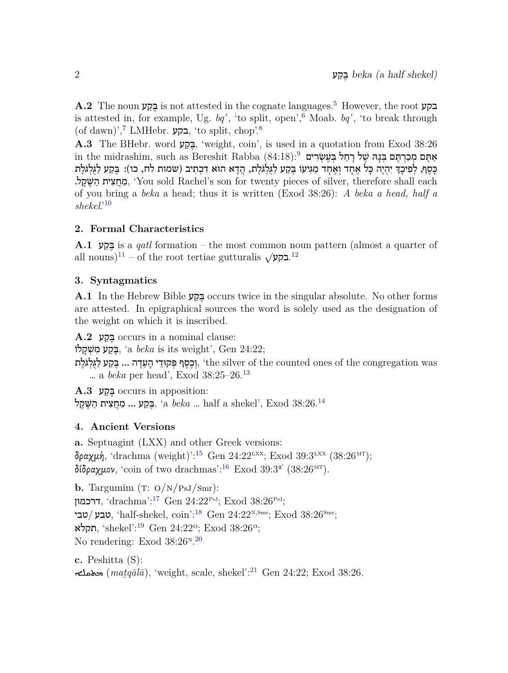<span id="page-1-4"></span><span id="page-1-3"></span> $\bf A.2$  The noun בקע is not attested in the cognate languages.<sup>[5](#page-4-6)</sup> However, the root is attested in, for example, Ug.  $bq^{\prime}$ , 'to split, open',<sup>[6](#page-4-7)</sup> Moab.  $bq^{\prime}$ , 'to break through  $(\text{of dawn})$ ', בקע, 'to split, chop'.<sup>[8](#page-4-9)</sup>

<span id="page-1-7"></span><span id="page-1-6"></span><span id="page-1-5"></span>**A.3** The BHebr. word בָּקָע (weight, coin', is used in a quotation from Exod 38:26 in the midrashim, such as Bereshit Rabba (84:18): אַתֵּם מִכַרְתֵּם בְּנַהּ שֶׁל רַחֵל בִּעֵשְׂרִים ְכָּסֶף, לְפִיכָךְ יִהְיֶה כַּל אֶחֶד וְאֶחֶד מַגִּיעוֹ בֶּקֲע לַגְלְגֹּלֶת, הֲדָא הוּא דִכְתִיב (שמות לח, כו): בֶּקַע לַגְלְגֹּלֶת ָמְחֵצִית הַשֵּׁקֵל. 'You sold Rachel's son for twenty pieces of silver, therefore shall each of you bring a *beka* a head; thus it is written (Exod 38:26): *A beka a head, half a shekel*.'[10](#page-4-11)

## <span id="page-1-8"></span><span id="page-1-0"></span>**2. Formal Characteristics**

<span id="page-1-10"></span><span id="page-1-9"></span>**A.1** ע ַק ֶבּ is a *qatl* formation – the most common noun pattern (almost a quarter of  $\frac{1}{2}$ .**בקע** $\frac{1}{2}$  = of the root tertiae gutturalis  $\sqrt{2}$ .

## <span id="page-1-1"></span>**3. Syntagmatics**

**A.1** In the Hebrew Bible ע ַק ֶבּ occurs twice in the singular absolute. No other forms are attested. In epigraphical sources the word is solely used as the designation of the weight on which it is inscribed.

**A.2** ע ַק ֶבּ occurs in a nominal clause:

בֵּקֵע מִשְׁקַלוֹ, 'a *beka* is its weight', Gen 24:22;

<span id="page-1-11"></span>יִרְסֵף פִּקוּדֵי הַעֲדָה ... בֵּקַע לַגְלִגֹּלֵת, 'the silver of the counted ones of the congregation was … a *beka* per head', Exod 38:25–26.[13](#page-4-14)

<span id="page-1-12"></span>**A.3** ע ַק ֶבּ occurs in apposition: בֶּקָע ... מַחֲצִית הַשֵּׁקֵל (a  $beka$  ... half a shekel', Exod 38:26. $^{14}$  $^{14}$  $^{14}$ 

# <span id="page-1-2"></span>**4. Ancient Versions**

<span id="page-1-14"></span><span id="page-1-13"></span>**a.** Septuagint (LXX) and other Greek versions: δραχμή, 'drachma (weight)':<sup>[15](#page-4-16)</sup> Gen 24:22<sup>LXX</sup>; Exod 39:3<sup>LXX</sup> (38:26<sup>MT</sup>); δίδραχμον, 'coin of two drachmas':  $^{16}$  $^{16}$  $^{16}$  Exod 39:3<sup>α'</sup> (38:26<sup>MT</sup>).

<span id="page-1-16"></span><span id="page-1-15"></span>**b.** Targumim (T:  $O/N/PsJ/Smr$ ): דרכמון, 'drachma':<sup>[17](#page-5-0)</sup> Gen 24:22<sup>PsJ</sup>; Exod 38:26<sup>PsJ</sup>; טבי, 'half-shekel, coin':<sup>[18](#page-5-1)</sup> Gen 24:22<sup>N,Smr</sup>; Exod 38:26<sup>Smr</sup>; תקלא, 'shekel': $^{19}$  $^{19}$  $^{19}$  Gen 24:22°; Exod 38:26°; No rendering: Exod  $38:26<sup>n</sup>$ . [20](#page-5-3)

<span id="page-1-19"></span><span id="page-1-18"></span><span id="page-1-17"></span>**c.** Peshitta (S):  $(matq\bar{a}l\bar{a})$ , 'weight, scale, shekel':<sup>[21](#page-5-4)</sup> Gen 24:22; Exod 38:26.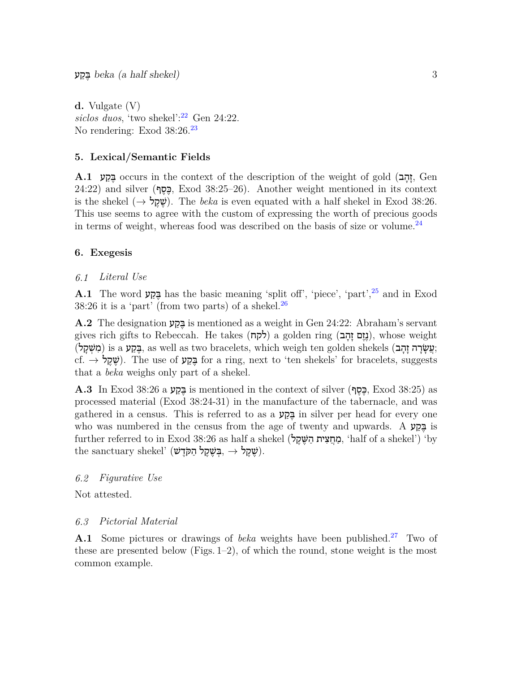<span id="page-2-6"></span><span id="page-2-5"></span>**d.** Vulgate (V) *siclos duos*, 'two shekel':[22](#page-5-5) Gen 24:22. No rendering: Exod 38:26.<sup>[23](#page-5-6)</sup>

## <span id="page-2-0"></span>**5. Lexical/Semantic Fields**

**A.1** הָקָט occurs in the context of the description of the weight of gold (בְּקַע, Gen  $24:22$ ) and silver (פְּסֵף, Exod 38:25–26). Another weight mentioned in its context is the shekel (*→* ל ֶק ֶשׁ(. The *beka* is even equated with a half shekel in Exod 38:26. This use seems to agree with the custom of expressing the worth of precious goods in terms of weight, whereas food was described on the basis of size or volume.<sup>[24](#page-5-7)</sup>

## <span id="page-2-7"></span><span id="page-2-1"></span>**6. Exegesis**

## <span id="page-2-8"></span><span id="page-2-2"></span>*6.1 Literal Use*

<span id="page-2-9"></span>**A.1** The word בָּכָן has the basic meaning 'split off', 'piece', 'part',<sup>[25](#page-5-8)</sup> and in Exod 38:[26](#page-5-9) it is a 'part' (from two parts) of a shekel.<sup>26</sup>

**A.2** The designation ע ַק ֶבּ is mentioned as a weight in Gen 24:22: Abraham's servant gives rich gifts to Rebeccah. He takes (לקח) a golden ring (בְּזֵם  $\alpha$ ), whose weight ;עֲ שָׂ רָ ה זָ הָ ב) shekels golden ten weigh which ,bracelets two as well as ,בֶּ קַ ע a is) מִ שְׁ קָ ל) cf. *→* ל ֶק ֶשׁ(. The use of ע ַק ֶבּ for a ring, next to 'ten shekels' for bracelets, suggests that a *beka* weighs only part of a shekel.

 $\bf A.3$  In Exod 38:26 a בּקָע is mentioned in the context of silver (הַפָּף, Exod 38:25) as processed material (Exod 38:24-31) in the manufacture of the tabernacle, and was gathered in a census. This is referred to as a בֵּקַע in silver per head for every one who was numbered in the census from the age of twenty and upwards. A  $\overline{z}$  is  $\pm$ further referred to in Exod 38:26 as half a shekel (מחצית השׁקל, 'half of a shekel') 'by  $\text{the } \text{santuary } \text{shekel'}$  (שֶׁקֵל – ,בְּשֶׁקֶל הַקֹּדֵשׁ, → יָ

#### <span id="page-2-3"></span>*6.2 Figurative Use*

Not attested.

#### <span id="page-2-10"></span><span id="page-2-4"></span>*6.3 Pictorial Material*

**A.1** Some pictures or drawings of *beka* weights have been published.<sup>[27](#page-5-10)</sup> Two of these are presented below (Figs. 1–2), of which the round, stone weight is the most common example.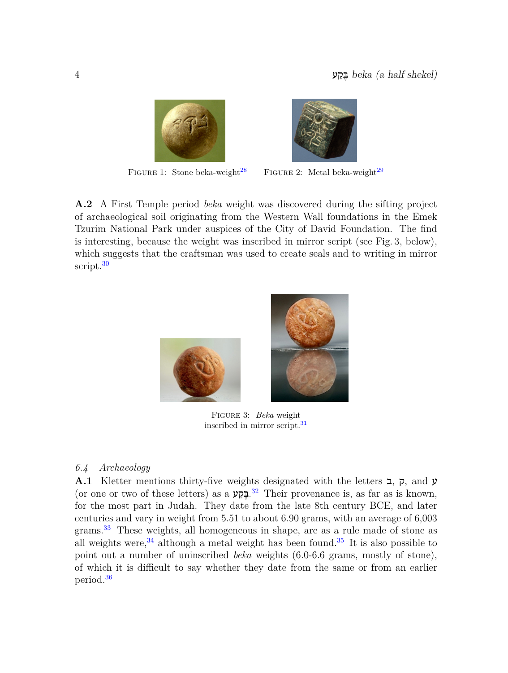

<span id="page-3-2"></span><span id="page-3-1"></span>

FIGURE 1: Stone beka-weight<sup>[28](#page-5-11)</sup> FIGURE 2: Metal beka-weight<sup>[29](#page-5-12)</sup>

**A.2** A First Temple period *beka* weight was discovered during the sifting project of archaeological soil originating from the Western Wall foundations in the Emek Tzurim National Park under auspices of the City of David Foundation. The find is interesting, because the weight was inscribed in mirror script (see Fig. 3, below), which suggests that the craftsman was used to create seals and to writing in mirror script.<sup>[30](#page-5-13)</sup>

<span id="page-3-4"></span><span id="page-3-3"></span>

Figure 3: *Beka* weight inscribed in mirror script.[31](#page-5-14)

## <span id="page-3-5"></span><span id="page-3-0"></span>*6.4 Archaeology*

<span id="page-3-9"></span><span id="page-3-8"></span><span id="page-3-7"></span><span id="page-3-6"></span>**A.1** Kletter mentions thirty-five weights designated with the letters ב, ק, and ע (or one or two of these letters) as a **הֲכָל**ע.<sup>[32](#page-5-15)</sup> Their provenance is, as far as is known, for the most part in Judah. They date from the late 8th century BCE, and later centuries and vary in weight from 5.51 to about 6.90 grams, with an average of 6,003 grams.<sup>[33](#page-5-16)</sup> These weights, all homogeneous in shape, are as a rule made of stone as all weights were,  $34$  although a metal weight has been found.  $35$  It is also possible to point out a number of uninscribed *beka* weights (6.0-6.6 grams, mostly of stone), of which it is difficult to say whether they date from the same or from an earlier period.[36](#page-6-1)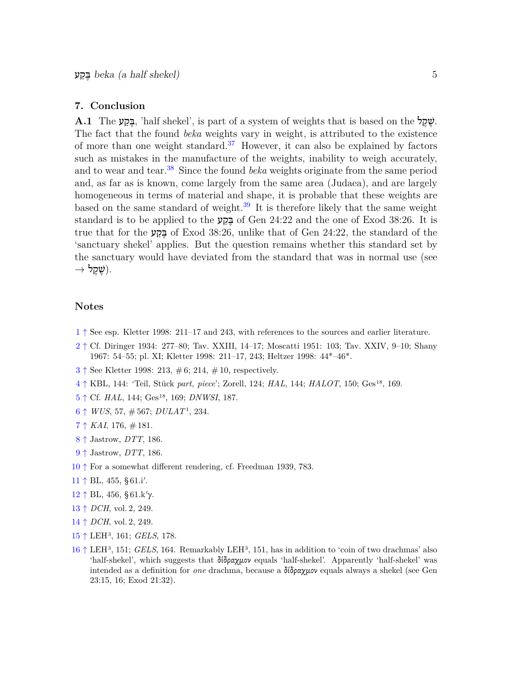#### <span id="page-4-0"></span>**7. Conclusion**

<span id="page-4-20"></span><span id="page-4-19"></span><span id="page-4-18"></span>**A.1** The בְּקַע, 'half shekel', is part of a system of weights that is based on the  $\ddot{x}$ . The fact that the found *beka* weights vary in weight, is attributed to the existence of more than one weight standard.[37](#page-6-2) However, it can also be explained by factors such as mistakes in the manufacture of the weights, inability to weigh accurately, and to wear and tear.[38](#page-6-3) Since the found *beka* weights originate from the same period and, as far as is known, come largely from the same area (Judaea), and are largely homogeneous in terms of material and shape, it is probable that these weights are based on the same standard of weight.<sup>[39](#page-6-4)</sup> It is therefore likely that the same weight standard is to be applied to the ב  $\frac{1}{2}$  of Gen 24:22 and the one of Exod 38:26. It is true that for the  $\frac{1}{2}$  of Exod 38:26, unlike that of Gen 24:22, the standard of the 'sanctuary shekel' applies. But the question remains whether this standard set by the sanctuary would have deviated from the standard that was in normal use (see .(שֶׁ קֶ ל *→*

## <span id="page-4-1"></span>**Notes**

- <span id="page-4-3"></span><span id="page-4-2"></span>[1](#page-0-2) *↑* See esp. Kletter 1998: 211–17 and 243, with references to the sources and earlier literature.
- [2](#page-0-3) *↑* Cf. Diringer 1934: 277–80; Tav. XXIII, 14–17; Moscatti 1951: 103; Tav. XXIV, 9–10; Shany 1967: 54–55; pl. XI; Kletter 1998: 211–17, 243; Heltzer 1998: 44\*–46\*.
- <span id="page-4-4"></span>[3](#page-0-4) *↑* See Kletter 1998: 213, # 6; 214, # 10, respectively.
- <span id="page-4-5"></span>[4](#page-0-5) *↑* KBL, 144: 'Teil, Stück *part, piece*'; Zorell, 124; *HAL*, 144; *HALOT*, 150; Ges<sup>18</sup>, 169.
- <span id="page-4-6"></span>[5](#page-1-3) *↑* Cf. *HAL*, 144; Ges<sup>18</sup>, 169; *DNWSI*, 187.
- <span id="page-4-8"></span><span id="page-4-7"></span>[6](#page-1-4) *↑ WUS*, 57, # 567; *DULAT*<sup>1</sup> , 234.
- [7](#page-1-5) *↑ KAI*, 176, # 181.
- <span id="page-4-9"></span>[8](#page-1-6) *↑* Jastrow, *DTT*, 186.
- <span id="page-4-10"></span>[9](#page-1-7) *↑* Jastrow, *DTT*, 186.
- <span id="page-4-11"></span>[10](#page-1-8) *↑* For a somewhat different rendering, cf. Freedman 1939, 783.
- <span id="page-4-13"></span><span id="page-4-12"></span>[11](#page-1-9) *↑* BL, 455, § 61.i*′* .
- <span id="page-4-14"></span>[12](#page-1-10) *↑* BL, 456, § 61.k*′*γ.
- [13](#page-1-11) *↑ DCH*, vol. 2, 249.
- <span id="page-4-15"></span>[14](#page-1-12) *↑ DCH*, vol. 2, 249.
- <span id="page-4-16"></span>[15](#page-1-13) *↑* LEH<sup>3</sup> , 161; *GELS*, 178.
- <span id="page-4-17"></span>[16](#page-1-14) ↑ LEH<sup>3</sup>, 151; *GELS*, 164. Remarkably LEH<sup>3</sup>, 151, has in addition to 'coin of two drachmas' also 'half-shekel', which suggests that δίδραχμον equals 'half-shekel'. Apparently 'half-shekel' was intended as a definition for *one* drachma, because a δίδραχμον equals always a shekel (see Gen 23:15, 16; Exod 21:32).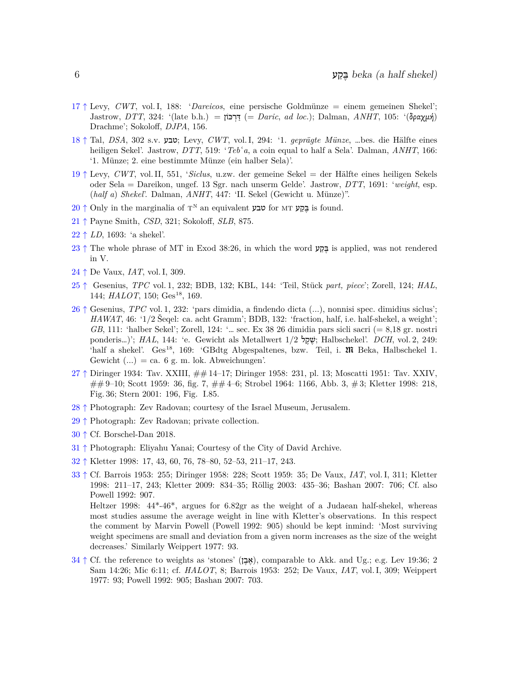- <span id="page-5-0"></span>[17](#page-1-15) *↑* Levy, *CWT*, vol. I, 188: '*Dareicos*, eine persische Goldmünze = einem gemeinen Shekel'; Jastrow, *DTT*, 324: '(late b.h.) = כּוֹן ְר ַדּ =) *Daric*, *ad loc.*); Dalman, *ANHT*, 105: '(δραχμή) Drachme'; Sokoloff, *DJPA*, 156.
- <span id="page-5-1"></span>[18](#page-1-16) *↑* Tal, *DSA*, 302 s.v. טבע ;Levy, *CWT*, vol. I, 294: '1. *geprägte Münze*, …bes. die Hälfte eines heiligen Sekel'. Jastrow, *DTT*, 519: '*Teb*'a, a coin equal to half a Sela'. Dalman, *ANHT*, 166: '1. Münze; 2. eine bestimmte Münze (ein halber Sela)'.
- <span id="page-5-2"></span>[19](#page-1-17) *↑* Levy, *CWT*, vol. II, 551, '*Siclus*, u.zw. der gemeine Sekel = der Hälfte eines heiligen Sekels oder Sela = Dareikon, ungef. 13 Sgr. nach unserm Gelde'. Jastrow, *DTT*, 1691: '*weight*, esp. (*half a*) *Shekel*'. Dalman, *ANHT*, 447: 'II. Sekel (Gewicht u. Münze)".
- <span id="page-5-3"></span> $20 \uparrow$  $20 \uparrow$  Only in the marginalia of  $T^N$  an equivalent **טבע** for MT שָׁבָּקַטּ is found.
- <span id="page-5-4"></span>[21](#page-1-19) *↑* Payne Smith, *CSD*, 321; Sokoloff, *SLB*, 875.
- <span id="page-5-6"></span><span id="page-5-5"></span>[22](#page-2-5) *↑ LD*, 1693: 'a shekel'.
- [23](#page-2-6) ↑ The whole phrase of MT in Exod 38:26, in which the word <u>≖</u> is applied, was not rendered in V.
- <span id="page-5-7"></span>[24](#page-2-7) *↑* De Vaux, *IAT*, vol. I, 309.
- <span id="page-5-8"></span>[25](#page-2-8) *↑* Gesenius, *TPC* vol. 1, 232; BDB, 132; KBL, 144: 'Teil, Stück *part, piece*'; Zorell, 124; *HAL*, 144; *HALOT*, 150; Ges<sup>18</sup>, 169.
- <span id="page-5-9"></span>[26](#page-2-9) *↑* Gesenius, *TPC* vol. 1, 232: 'pars dimidia, a findendo dicta (...), nonnisi spec. dimidius siclus'; *HAWAT*, 46: '1/2 Šeqel: ca. acht Gramm'; BDB, 132: 'fraction, half, i.e. half-shekel, a weight'; *GB*, 111: 'halber Sekel'; Zorell, 124: '… sec. Ex 38 26 dimidia pars sicli sacri (= 8,18 gr. nostri ponderis…)'; *HAL*, 144: 'e. Gewicht als Metallwert  $1/2$  אֱשׂ ; Halbschekel'. *DCH*, vol. 2, 249: 'half a shekel'. Ges<sup>18</sup>, 169: 'GBdtg Abgespaltenes, bzw. Teil, i. **200** Beka, Halbschekel 1. Gewicht  $(...) = ca. 6 g. m. lok. Abweichungen'.$
- <span id="page-5-10"></span>[27](#page-2-10) *↑* Diringer 1934: Tav. XXIII, ## 14–17; Diringer 1958: 231, pl. 13; Moscatti 1951: Tav. XXIV, ## 9–10; Scott 1959: 36, fig. 7, ## 4–6; Strobel 1964: 1166, Abb. 3, # 3; Kletter 1998: 218, Fig. 36; Stern 2001: 196, Fig. I.85.
- <span id="page-5-12"></span><span id="page-5-11"></span>[28](#page-3-1) *↑* Photograph: Zev Radovan; courtesy of the Israel Museum, Jerusalem.
- [29](#page-3-2) *↑* Photograph: Zev Radovan; private collection.
- <span id="page-5-13"></span>[30](#page-3-3) *↑* Cf. Borschel-Dan 2018.
- <span id="page-5-15"></span><span id="page-5-14"></span>[31](#page-3-4) *↑* Photograph: Eliyahu Yanai; Courtesy of the City of David Archive.
- <span id="page-5-16"></span>[32](#page-3-5) *↑* Kletter 1998: 17, 43, 60, 76, 78–80, 52–53, 211–17, 243.
- [33](#page-3-6) *↑* Cf. Barrois 1953: 255; Diringer 1958: 228; Scott 1959: 35; De Vaux, *IAT*, vol. I, 311; Kletter 1998: 211–17, 243; Kletter 2009: 834–35; Röllig 2003: 435–36; Bashan 2007: 706; Cf. also Powell 1992: 907.

Heltzer 1998: 44\*-46\*, argues for 6.82gr as the weight of a Judaean half-shekel, whereas most studies assume the average weight in line with Kletter's observations. In this respect the comment by Marvin Powell (Powell 1992: 905) should be kept inmind: 'Most surviving weight specimens are small and deviation from a given norm increases as the size of the weight decreases.' Similarly Weippert 1977: 93.

<span id="page-5-17"></span>[34](#page-3-7) *↑* Cf. the reference to weights as 'stones' (ן ֶב ֶא(, comparable to Akk. and Ug.; e.g. Lev 19:36; 2 Sam 14:26; Mic 6:11; cf. *HALOT*, 8; Barrois 1953: 252; De Vaux, *IAT*, vol. I, 309; Weippert 1977: 93; Powell 1992: 905; Bashan 2007: 703.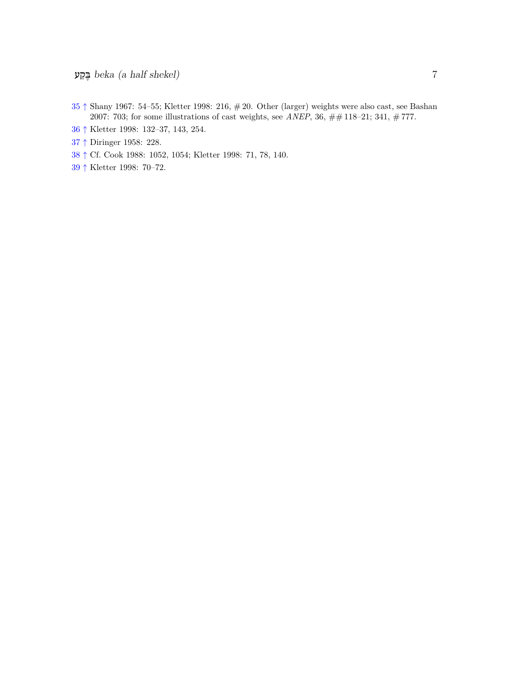- <span id="page-6-0"></span> *↑* Shany 1967: 54–55; Kletter 1998: 216, # 20. Other (larger) weights were also cast, see Bashan 2007: 703; for some illustrations of cast weights, see *ANEP*, 36, ## 118–21; 341, # 777.
- <span id="page-6-1"></span>*↑* Kletter 1998: 132–37, 143, 254.
- <span id="page-6-2"></span>*↑* Diringer 1958: 228.
- <span id="page-6-3"></span>*↑* Cf. Cook 1988: 1052, 1054; Kletter 1998: 71, 78, 140.
- <span id="page-6-4"></span>*↑* Kletter 1998: 70–72.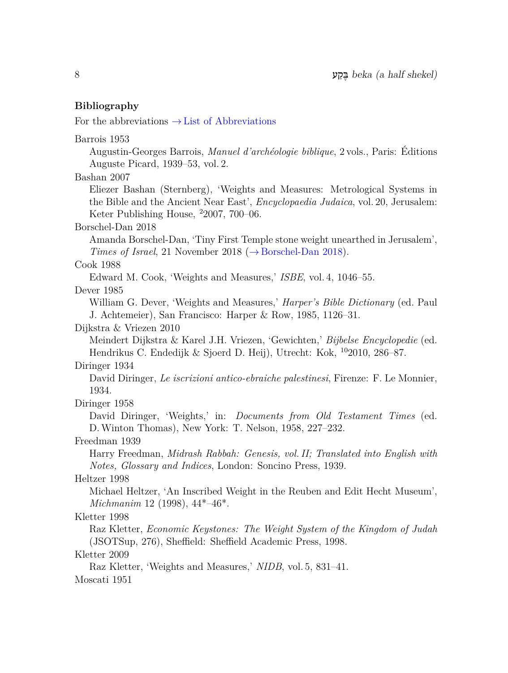## <span id="page-7-0"></span>**Bibliography**

For the abbreviations *→* List of Abbreviations

Barrois 1953 Augustin-Georges Barrois, *Manuel d'archéologie biblique*, 2 vols., Paris: Éditions Auguste Picard, 1939–53, vol. 2. Bashan 2007 Eliezer Bashan (Sternberg), 'Weights and Measures: Metrological Systems in the Bible and the Ancient Near East', *Encyclopaedia Judaica*, vol. 20, Jerusalem: Keter Publishing House, <sup>2</sup>2007, 700–06. Borschel-Dan 2018 Amanda Borschel-Dan, 'Tiny First Temple stone weight unearthed in Jerusalem', *Times of Israel*, 21 November 2018 (*→* Borschel-Dan 2018). Cook 1988 Edward M. Cook, 'Weights and Measures,' *ISBE*, vol. 4, 1046–55. Dever 1985 William G. Dever, 'Weights and Measures,' *Harper's Bible Dictionary* (ed. Paul J. Achtemeier), San Francisco: Harper & Row, 1985, 1126–31. Dijkstra & Vriezen 2010 Meindert Dijkstra & Karel J.H. Vriezen, 'Gewichten,' *Bijbelse Encyclopedie* (ed. Hendrikus C. Endedijk & Sjoerd D. Heij), Utrecht: Kok, <sup>10</sup>2010, 286–87. Diringer 1934 David Diringer, *Le iscrizioni antico-ebraiche palestinesi*, Firenze: F. Le Monnier, 1934. Diringer 1958 David Diringer, 'Weights,' in: *Documents from Old Testament Times* (ed. D. Winton Thomas), New York: T. Nelson, 1958, 227–232. Freedman 1939 Harry Freedman, *Midrash Rabbah: Genesis, vol. II; Translated into English with Notes, Glossary and Indices*, London: Soncino Press, 1939. Heltzer 1998 Michael Heltzer, 'An Inscribed Weight in the Reuben and Edit Hecht Museum', *Michmanim* 12 (1998), 44\*–46\*. Kletter 1998 Raz Kletter, *Economic Keystones: The Weight System of the Kingdom of Judah* (JSOTSup, 276), Sheffield: Sheffield Academic Press, 1998. Kletter 2009 Raz Kletter, 'Weights and Measures,' *NIDB*, vol. 5, 831–41. Moscati 1951